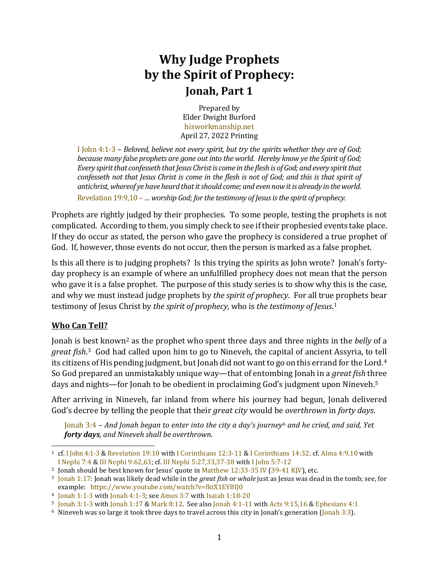## **Why Judge Prophets by the Spirit of Prophecy: Jonah, Part 1**

Prepared by Elder Dwight Burford [hisworkmanship.net](https://hisworkmanship.net/) April 27, 2022 Printing

[I John](http://www.scripturetoolbox.com/html/iv/1John/4.html#1-3) 4:1-3 – *Beloved, believe not every spirit, but try the spirits whether they are of God; because many false prophets are gone out into the world. Hereby know ye the Spirit of God; Every spirit that confesseth that Jesus Christ is come in the flesh is of God; and every spirit that confesseth not that Jesus Christ is come in the flesh is not of God; and this is that spirit of antichrist, whereof ye have heard that it should come; and even now it is already in the world.* [Revelation 19:9,10 –](http://www.scripturetoolbox.com/html/iv/Revelation/19.html#9-10) *… worship God; for the testimony of Jesus is the spirit of prophecy.*

Prophets are rightly judged by their prophecies. To some people, testing the prophets is not complicated. According to them, you simply check to see if their prophesied events take place. If they do occur as stated, the person who gave the prophecy is considered a true prophet of God. If, however, those events do not occur, then the person is marked as a false prophet.

Is this all there is to judging prophets? Is this trying the spirits as John wrote? Jonah's fortyday prophecy is an example of where an unfulfilled prophecy does not mean that the person who gave it is a false prophet. The purpose of this study series is to show why this is the case, and why we must instead judge prophets by *the spirit of prophecy*. For all true [p](#page-0-0)rophets bear testimony of Jesus Christ by *the spirit of prophecy*, who is *the testimony of Jesus*.1

## **Who Can Tell?**

Jonah is b[e](#page-0-2)st known[2](#page-0-1) as the prophet who spent three days and three nights in the *belly* of a *great fish*. 3 God had called upon him to go to Nineveh, the capital of ancient Assyria, to tell its citizens of His pending judgment, but Jonah did not want to go on this errand for the Lord.<sup>[4](#page-0-3)</sup> So God prepared an unmistakably unique way—that of entombing Jonah in a *great fish* th[r](#page-0-4)ee days and nights—for Jonah to be obedient in proclaiming God's judgment upon Nineveh. 5

After arriving in Nineveh, far inland from where his journey had begun, Jonah delivered God's decree by telling the people that their *great city* would b[e](#page-0-5) *overthrown* in *forty days*.

[Jonah 3:4](http://www.scripturetoolbox.com/html/iv/Jonah/3.html#4) – *And Jonah began to enter into the city a day's journey*<sup>6</sup> *and he cried, and said, Yet forty days, and Nineveh shall be overthrown*.

<span id="page-0-0"></span><sup>1</sup> cf[. I John](http://www.scripturetoolbox.com/html/iv/1John/4.html#1-3) 4:1-3[& Revelation 19:10](http://www.scripturetoolbox.com/html/iv/Revelation/19.html#10) with [I Corinthians 12:3-11](http://www.scripturetoolbox.com/html/iv/1Corinthians/12.html#3-11) & [I Corinthians 14:32;](http://www.scripturetoolbox.com/html/iv/1Corinthians/14.html#32) cf. [Alma 4:9,10](http://www.scripturetoolbox.com/html/1908aebom/Alma/4.html#9-10) with I [Nephi 7:4](http://www.scripturetoolbox.com/html/1908aebom/1Nephi/7.html#4) & [III Nephi 9:62,63;](http://www.scripturetoolbox.com/html/1908aebom/3Nephi/9.html#62-63) cf. [III Nephi 5:27,33,37-38](http://www.scripturetoolbox.com/html/1908aebom/3Nephi/5.html#27,33,37-38) with [I John 5:7-12](http://www.scripturetoolbox.com/html/iv/1John/5.html#7-12)

<span id="page-0-1"></span><sup>&</sup>lt;sup>2</sup> Jonah should be best known for Jesus' quote i[n Matthew 12:33-35 IV](http://www.scripturetoolbox.com/html/iv/Matthew/12.html#33-35) [\(39-41 KJV\)](http://www.scripturetoolbox.com/html/kjv/Matthew/12.html#39-41), etc.

<span id="page-0-2"></span><sup>3</sup> [Jonah 1:17:](http://www.scripturetoolbox.com/html/iv/Jonah/1.html#17) Jonah was likely dead while in the *great fish* or *whale* just as Jesus was dead in the tomb; see, for example: <https://www.youtube.com/watch?v=fktX1EY8IJ0>

<span id="page-0-3"></span><sup>4</sup> [Jonah 1:1-3](http://www.scripturetoolbox.com/html/iv/Jonah/1.html#1-3) with [Jonah 4:1-3;](http://www.scripturetoolbox.com/html/iv/Jonah/4.html#1-3) see [Amos 3:7](http://www.scripturetoolbox.com/html/iv/Amos/3.html#7) with [Isaiah 1:18-20](http://www.scripturetoolbox.com/html/iv/Isaiah/1.html#18-20)

<span id="page-0-4"></span> $5 \text{ [onah 3:1-3 with [onah 1:17 & Mark 8:12].}$  See als[o Jonah 4:1-11](http://www.scripturetoolbox.com/html/iv/Jonah/4.html#1-11) with [Acts 9:15,16](http://www.scripturetoolbox.com/html/iv/Acts/9.html#15-16) [& Ephesians 4:1](http://www.scripturetoolbox.com/html/iv/Ephesians/4.html#1)

<span id="page-0-5"></span><sup>6</sup> Nineveh was so large it took three days to travel across this city in Jonah's generation [\(Jonah 3:3\)](http://www.scripturetoolbox.com/html/iv/Jonah/3.html#3).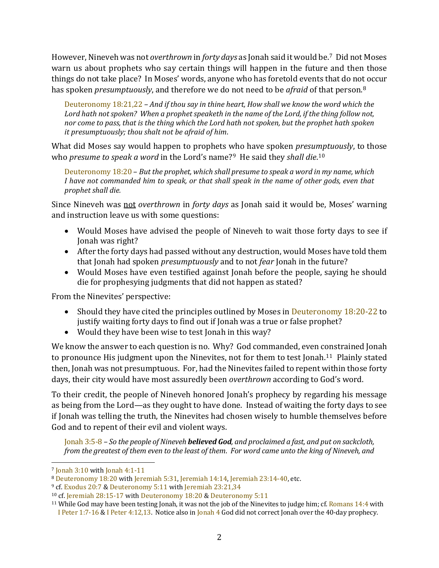However, Nineveh was not *overthrown* in *forty days* as Jonah said it would be. [7](#page-1-0) Did not Moses warn us about prophets who say certain things will happen in the future and then those things do not take place? In Moses' words, anyone who has foretold events that do no[t](#page-1-1) occur has spoken *presumptuously*, and therefore we do not need to be *afraid* of that person. 8

[Deuteronomy 18:21,22](http://www.scripturetoolbox.com/html/iv/Deuteronomy/18.html#21-22) – *And if thou say in thine heart, How shall we know the word which the*  Lord hath not spoken? When a prophet speaketh in the name of the Lord, if the thing follow not, *nor come to pass, that is the thing which the Lord hath not spoken, but the prophet hath spoken it presumptuously; thou shalt not be afraid of him*.

What did Moses say would happen to prophets who have spoken *presu[mp](#page-1-3)tuously*, to those who *presume to speak a word* in the Lord's name?[9](#page-1-2) He said they *shall die*. 10

[Deuteronomy 18:20](http://www.scripturetoolbox.com/html/iv/Deuteronomy/18.html#20) – *But the prophet, which shall presume to speak a word in my name, which I have not commanded him to speak, or that shall speak in the name of other gods, even that prophet shall die.* 

Since Nineveh was not *overthrown* in *forty days* as Jonah said it would be, Moses' warning and instruction leave us with some questions:

- Would Moses have advised the people of Nineveh to wait those forty days to see if Jonah was right?
- After the forty days had passed without any destruction, would Moses have told them that Jonah had spoken *presumptuously* and to not *fear* Jonah in the future?
- Would Moses have even testified against Jonah before the people, saying he should die for prophesying judgments that did not happen as stated?

From the Ninevites' perspective:

- Should they have cited the principles outlined by Moses in Deuteronomy 18:20-22 to justify waiting forty days to find out if Jonah was a true or false prophet?
- Would they have been wise to test Jonah in this way?

We know the answer to each question is no. Why? God commanded, even constrained Jonah to pronounce His judgment upon the Ninevites, not for them to test Jonah.[11](#page-1-4) Plainly stated then, Jonah was not presumptuous. For, had the Ninevites failed to repent within those forty days, their city would have most assuredly been *overthrown* according to God's word.

To their credit, the people of Nineveh honored Jonah's prophecy by regarding his message as being from the Lord—as they ought to have done. Instead of waiting the forty days to see if Jonah was telling the truth, the Ninevites had chosen wisely to humble themselves before God and to repent of their evil and violent ways.

[Jonah 3:5-8](http://www.scripturetoolbox.com/html/iv/Jonah/3.html#5-8) – *So the people of Nineveh believed God, and proclaimed a fast, and put on sackcloth, from the greatest of them even to the least of them*. *For word came unto the king of Nineveh, and* 

<span id="page-1-0"></span><sup>7</sup> [Jonah 3:10](http://www.scripturetoolbox.com/html/iv/Jonah/3.html#5-9) wit[h Jonah 4:1-11](http://www.scripturetoolbox.com/html/iv/Jonah/4.html#1-11)

<span id="page-1-1"></span><sup>8</sup> [Deuteronomy 18:20](http://www.scripturetoolbox.com/html/iv/Deuteronomy/18.html#20) with [Jeremiah 5:31,](http://www.scripturetoolbox.com/html/iv/Jeremiah/5.html#31) [Jeremiah 14:14,](http://www.scripturetoolbox.com/html/iv/Jeremiah/14.html#14) [Jeremiah 23:14-40,](http://www.scripturetoolbox.com/html/iv/Jeremiah/23.html#14-40) etc.

<span id="page-1-2"></span><sup>9</sup> cf[. Exodus 20:7](http://www.scripturetoolbox.com/html/iv/Exodus/20.html#7) [& Deuteronomy 5:11](http://www.scripturetoolbox.com/html/iv/Deuteronomy/5.html#11) with [Jeremiah 23:21,34](http://www.scripturetoolbox.com/html/iv/Jeremiah/23.html#21,34)

<span id="page-1-3"></span><sup>10</sup> cf. [Jeremiah 28:15-17](http://www.scripturetoolbox.com/html/iv/Jeremiah/28.html#15-17) with [Deuteronomy 18:20](http://www.scripturetoolbox.com/html/iv/Deuteronomy/18.html#20) & [Deuteronomy 5:11](http://www.scripturetoolbox.com/html/iv/Deuteronomy/5.html#11)

<span id="page-1-4"></span><sup>&</sup>lt;sup>11</sup> While God may have been testing Jonah, it was not the job of the Ninevites to judge him; cf. [Romans 14:4](http://www.scripturetoolbox.com/html/iv/Romans/14.html#4) with I [Peter 1:7-16](http://www.scripturetoolbox.com/html/iv/1Peter/1.html#7-16) [& I Peter 4:12,13.](http://www.scripturetoolbox.com/html/iv/1Peter/4.html#12-13) Notice also i[n Jonah 4](http://www.scripturetoolbox.com/html/iv/Jonah/4.html#1-11) God did not correct Jonah over the 40-day prophecy.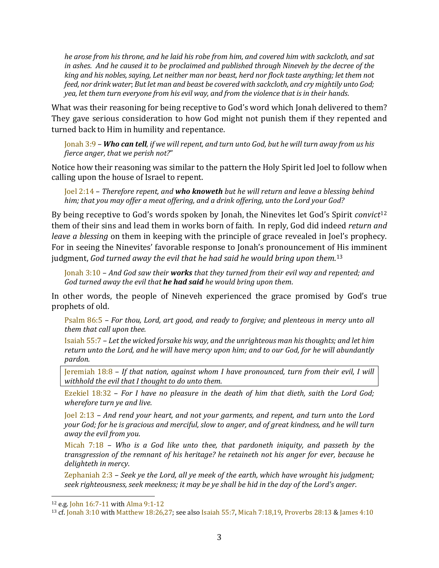*he arose from his throne, and he laid his robe from him, and covered him with sackcloth, and sat in ashes*. *And he caused it to be proclaimed and published through Nineveh by the decree of the king and his nobles, saying, Let neither man nor beast, herd nor flock taste anything; let them not feed, nor drink water*; *But let man and beast be covered with sackcloth, and cry mightily unto God; yea, let them turn everyone from his evil way, and from the violence that is in their hands*.

What was their reasoning for being receptive to God's word which Jonah delivered to them? They gave serious consideration to how God might not punish them if they repented and turned back to Him in humility and repentance.

[Jonah 3:9](http://www.scripturetoolbox.com/html/iv/Jonah/3.html#9) – *Who can tell, if we will repent, and turn unto God, but he will turn away from us his fierce anger, that we perish not?*"

Notice how their reasoning was similar to the pattern the Holy Spirit led Joel to follow when calling upon the house of Israel to repent.

[Joel 2:14](http://www.scripturetoolbox.com/html/iv/Joel/2.html#14) – *Therefore repent, and who knoweth but he will return and leave a blessing behind him; that you may offer a meat offering, and a drink offering, unto the Lord your God?*

By being receptive to God's words spoken by Jonah, the Ninevites let God's Spirit *convict*<sup>12</sup> them of their sins and lead them in works born of faith. In reply, God did indeed *return a[nd](#page-2-0) leave a blessing* on them in keeping with the principle of grace revealed in Joel's prophecy. For in seeing the Ninevites' favorable response to Jonah's pronouncement of [H](#page-2-1)is imminent judgment, *God turned away the evil that he had said he would bring upon them*. 13

[Jonah 3:10](http://www.scripturetoolbox.com/html/iv/Jonah/3.html#10) – *And God saw their works that they turned from their evil way and repented; and God turned away the evil that he had said he would bring upon them*.

In other words, the people of Nineveh experienced the grace promised by God's true prophets of old.

[Psalm 86:5](http://www.scripturetoolbox.com/html/iv/Psalms/86.html#5) – *For thou, Lord, art good, and ready to forgive; and plenteous in mercy unto all them that call upon thee.*

[Isaiah 55:7](http://www.scripturetoolbox.com/html/iv/Isaiah/55.html#7-8) – *Let the wicked forsake his way, and the unrighteous man his thoughts; and let him return unto the Lord, and he will have mercy upon him; and to our God, for he will abundantly pardon.* 

[Jeremiah 18:8](http://www.scripturetoolbox.com/html/iv/Jeremiah/18.html#8) – *If that nation, against whom I have pronounced, turn from their evil, I will withhold the evil that I thought to do unto them*.

[Ezekiel 18:32](http://www.scripturetoolbox.com/html/iv/Ezekiel/18.html#32) – *For I have no pleasure in the death of him that dieth, saith the Lord God; wherefore turn ye and live.*

[Joel 2:13](http://www.scripturetoolbox.com/html/iv/Joel/2.html#13) – *And rend your heart, and not your garments, and repent, and turn unto the Lord your God; for he is gracious and merciful, slow to anger, and of great kindness, and he will turn away the evil from you*.

[Micah 7:18](http://www.scripturetoolbox.com/html/iv/Micah/7.html#18) – *Who is a God like unto thee, that pardoneth iniquity, and passeth by the transgression of the remnant of his heritage? he retaineth not his anger for ever, because he delighteth in mercy*.

[Zephaniah 2:3](http://www.scripturetoolbox.com/html/iv/Zephaniah/2.html#3) – *Seek ye the Lord, all ye meek of the earth, which have wrought his judgment; seek righteousness, seek meekness; it may be ye shall be hid in the day of the Lord's anger*.

<span id="page-2-0"></span><sup>12</sup> e.g[. John 16:7-11](http://www.scripturetoolbox.com/html/iv/John/16.html#7-11) wit[h Alma 9:1-12](http://www.scripturetoolbox.com/html/1908aebom/Alma/9.html#1-12)

<span id="page-2-1"></span><sup>13</sup> cf. [Jonah 3:10](http://www.scripturetoolbox.com/html/iv/Jonah/3.html#5-9) wit[h Matthew 18:26,27;](http://www.scripturetoolbox.com/html/iv/Matthew/18.html#26-27) see als[o Isaiah 55:7,](http://www.scripturetoolbox.com/html/iv/Isaiah/55.html#7) [Micah 7:18,19,](http://www.scripturetoolbox.com/html/iv/Micah/7.html#18-19) [Proverbs 28:13](http://www.scripturetoolbox.com/html/iv/Proverbs/28.html#13) [& James 4:10](http://www.scripturetoolbox.com/html/iv/James/4.html#10)